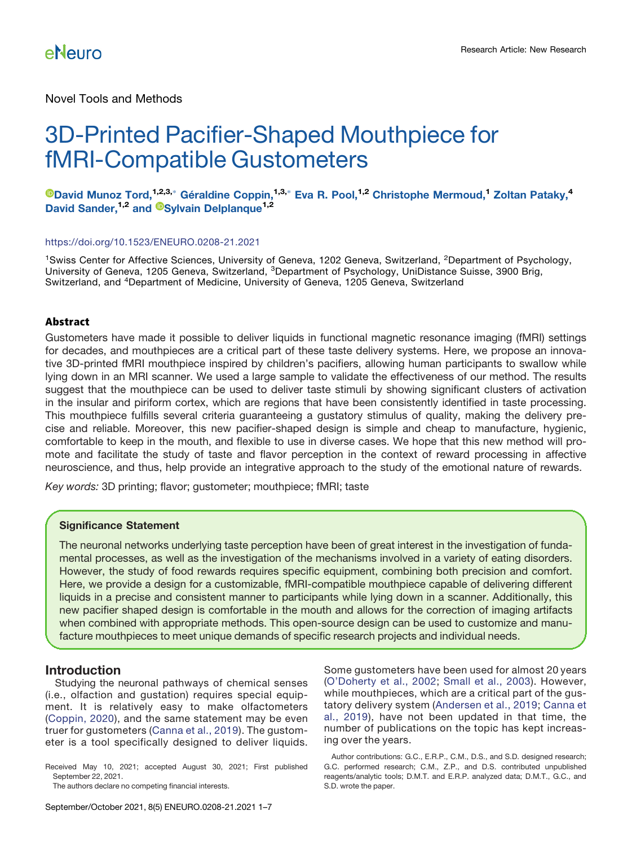Novel Tools and Methods

# 3D-Printed Pacifier-Shaped Mouthpiece for fMRI-Compatible Gustometers

**O[David Munoz Tord,](https://orcid.org/0000-0001-7954-8295)**<su[p](#page-1-0)>1,2,3,</sup> Géraldine Coppin,<sup>1,3,</sup> [Eva R. Pool,](#page-1-0)<sup>1,2</sup> Christophe Mermoud,<sup>1</sup> Zoltan Pataky,<sup>4</sup> David Sander,<sup>1,2</sup> and <sup>®</sup>[Sylvain Delplanque](https://orcid.org/0000-0002-9025-4754)<sup>1,2</sup>

#### <https://doi.org/10.1523/ENEURO.0208-21.2021>

<sup>1</sup>Swiss Center for Affective Sciences, University of Geneva, 1202 Geneva, Switzerland, <sup>2</sup>Department of Psychology, University of Geneva, 1205 Geneva, Switzerland, <sup>3</sup>Department of Psychology, UniDistance Suisse, 3900 Brig, Switzerland, and 4Department of Medicine, University of Geneva, 1205 Geneva, Switzerland

### Abstract

Gustometers have made it possible to deliver liquids in functional magnetic resonance imaging (fMRI) settings for decades, and mouthpieces are a critical part of these taste delivery systems. Here, we propose an innovative 3D-printed fMRI mouthpiece inspired by children's pacifiers, allowing human participants to swallow while lying down in an MRI scanner. We used a large sample to validate the effectiveness of our method. The results suggest that the mouthpiece can be used to deliver taste stimuli by showing significant clusters of activation in the insular and piriform cortex, which are regions that have been consistently identified in taste processing. This mouthpiece fulfills several criteria guaranteeing a gustatory stimulus of quality, making the delivery precise and reliable. Moreover, this new pacifier-shaped design is simple and cheap to manufacture, hygienic, comfortable to keep in the mouth, and flexible to use in diverse cases. We hope that this new method will promote and facilitate the study of taste and flavor perception in the context of reward processing in affective neuroscience, and thus, help provide an integrative approach to the study of the emotional nature of rewards.

Key words: 3D printing; flavor; gustometer; mouthpiece; fMRI; taste

### Significance Statement

The neuronal networks underlying taste perception have been of great interest in the investigation of fundamental processes, as well as the investigation of the mechanisms involved in a variety of eating disorders. However, the study of food rewards requires specific equipment, combining both precision and comfort. Here, we provide a design for a customizable, fMRI-compatible mouthpiece capable of delivering different liquids in a precise and consistent manner to participants while lying down in a scanner. Additionally, this new pacifier shaped design is comfortable in the mouth and allows for the correction of imaging artifacts when combined with appropriate methods. This open-source design can be used to customize and manufacture mouthpieces to meet unique demands of specific research projects and individual needs.

### Introduction

Studying the neuronal pathways of chemical senses (i.e., olfaction and gustation) requires special equipment. It is relatively easy to make olfactometers ([Coppin, 2020\)](#page-6-0), and the same statement may be even truer for gustometers ([Canna et al., 2019\)](#page-6-1). The gustometer is a tool specifically designed to deliver liquids.

Received May 10, 2021; accepted August 30, 2021; First published September 22, 2021.

The authors declare no competing financial interests.

Some gustometers have been used for almost 20 years (O'[Doherty et al., 2002](#page-6-2); [Small et al., 2003](#page-6-3)). However, while mouthpieces, which are a critical part of the gustatory delivery system ([Andersen et al., 2019;](#page-6-4) [Canna et](#page-6-1) [al., 2019\)](#page-6-1), have not been updated in that time, the number of publications on the topic has kept increasing over the years.

Author contributions: G.C., E.R.P., C.M., D.S., and S.D. designed research; G.C. performed research; C.M., Z.P., and D.S. contributed unpublished reagents/analytic tools; D.M.T. and E.R.P. analyzed data; D.M.T., G.C., and S.D. wrote the paper.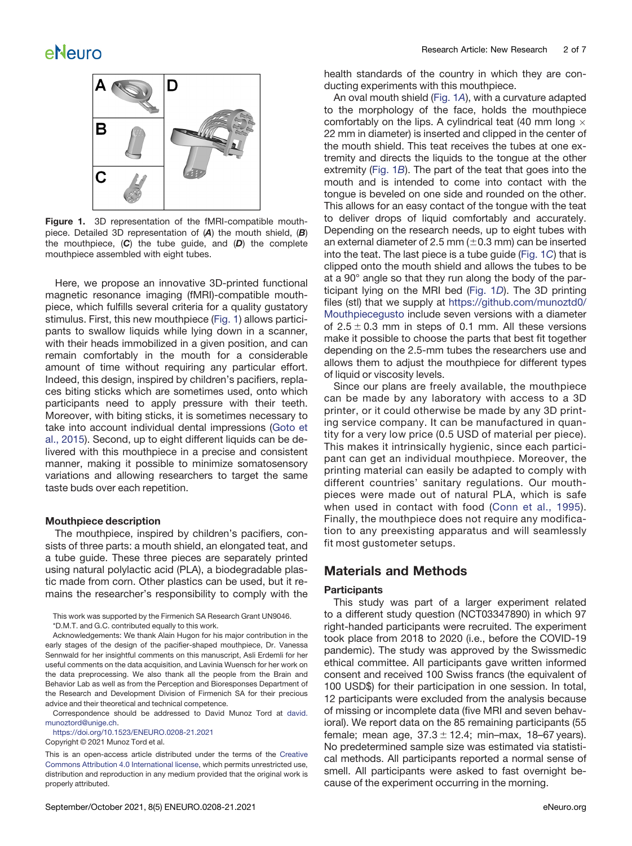

<span id="page-1-1"></span>Figure 1. 3D representation of the fMRI-compatible mouthpiece. Detailed 3D representation of  $(A)$  the mouth shield,  $(B)$ the mouthpiece,  $(C)$  the tube guide, and  $(D)$  the complete mouthpiece assembled with eight tubes.

Here, we propose an innovative 3D-printed functional magnetic resonance imaging (fMRI)-compatible mouthpiece, which fulfills several criteria for a quality gustatory stimulus. First, this new mouthpiece ([Fig. 1](#page-1-1)) allows participants to swallow liquids while lying down in a scanner, with their heads immobilized in a given position, and can remain comfortably in the mouth for a considerable amount of time without requiring any particular effort. Indeed, this design, inspired by children's pacifiers, replaces biting sticks which are sometimes used, onto which participants need to apply pressure with their teeth. Moreover, with biting sticks, it is sometimes necessary to take into account individual dental impressions [\(Goto et](#page-6-5) [al., 2015](#page-6-5)). Second, up to eight different liquids can be delivered with this mouthpiece in a precise and consistent manner, making it possible to minimize somatosensory variations and allowing researchers to target the same taste buds over each repetition.

#### Mouthpiece description

The mouthpiece, inspired by children's pacifiers, consists of three parts: a mouth shield, an elongated teat, and a tube guide. These three pieces are separately printed using natural polylactic acid (PLA), a biodegradable plastic made from corn. Other plastics can be used, but it remains the researcher's responsibility to comply with the

<span id="page-1-0"></span>This work was supported by the Firmenich SA Research Grant UN9046. \*D.M.T. and G.C. contributed equally to this work.

Acknowledgements: We thank Alain Hugon for his major contribution in the early stages of the design of the pacifier-shaped mouthpiece, Dr. Vanessa Sennwald for her insightful comments on this manuscript, Asli Erdemli for her useful comments on the data acquisition, and Lavinia Wuensch for her work on the data preprocessing. We also thank all the people from the Brain and Behavior Lab as well as from the Perception and Bioresponses Department of the Research and Development Division of Firmenich SA for their precious advice and their theoretical and technical competence.

Correspondence should be addressed to David Munoz Tord at [david.](mailto:david.munoztord@unige.ch) [munoztord@unige.ch](mailto:david.munoztord@unige.ch).

<https://doi.org/10.1523/ENEURO.0208-21.2021> Copyright © 2021 Munoz Tord et al.

This is an open-access article distributed under the terms of the [Creative](http://creativecommons.org/licenses/by/4.0/) [Commons Attribution 4.0 International license,](http://creativecommons.org/licenses/by/4.0/) which permits unrestricted use, distribution and reproduction in any medium provided that the original work is properly attributed.

health standards of the country in which they are conducting experiments with this mouthpiece.

An oval mouth shield [\(Fig. 1](#page-1-1)A), with a curvature adapted to the morphology of the face, holds the mouthpiece comfortably on the lips. A cylindrical teat (40 mm long  $\times$ 22 mm in diameter) is inserted and clipped in the center of the mouth shield. This teat receives the tubes at one extremity and directs the liquids to the tongue at the other extremity ([Fig. 1](#page-1-1)B). The part of the teat that goes into the mouth and is intended to come into contact with the tongue is beveled on one side and rounded on the other. This allows for an easy contact of the tongue with the teat to deliver drops of liquid comfortably and accurately. Depending on the research needs, up to eight tubes with an external diameter of 2.5 mm ( $\pm$ 0.3 mm) can be inserted into the teat. The last piece is a tube guide [\(Fig. 1](#page-1-1)C) that is clipped onto the mouth shield and allows the tubes to be at a 90° angle so that they run along the body of the participant lying on the MRI bed ([Fig. 1](#page-1-1)D). The 3D printing files (stl) that we supply at [https://github.com/munoztd0/](https://github.com/munoztd0/Mouthpiecegusto) [Mouthpiecegusto](https://github.com/munoztd0/Mouthpiecegusto) include seven versions with a diameter of  $2.5 \pm 0.3$  mm in steps of 0.1 mm. All these versions make it possible to choose the parts that best fit together depending on the 2.5-mm tubes the researchers use and allows them to adjust the mouthpiece for different types of liquid or viscosity levels.

Since our plans are freely available, the mouthpiece can be made by any laboratory with access to a 3D printer, or it could otherwise be made by any 3D printing service company. It can be manufactured in quantity for a very low price (0.5 USD of material per piece). This makes it intrinsically hygienic, since each participant can get an individual mouthpiece. Moreover, the printing material can easily be adapted to comply with different countries' sanitary regulations. Our mouthpieces were made out of natural PLA, which is safe when used in contact with food ([Conn et al., 1995\)](#page-6-6). Finally, the mouthpiece does not require any modification to any preexisting apparatus and will seamlessly fit most gustometer setups.

### Materials and Methods

### **Participants**

This study was part of a larger experiment related to a different study question (NCT03347890) in which 97 right-handed participants were recruited. The experiment took place from 2018 to 2020 (i.e., before the COVID-19 pandemic). The study was approved by the Swissmedic ethical committee. All participants gave written informed consent and received 100 Swiss francs (the equivalent of 100 USD\$) for their participation in one session. In total, 12 participants were excluded from the analysis because of missing or incomplete data (five MRI and seven behavioral). We report data on the 85 remaining participants (55 female; mean age,  $37.3 \pm 12.4$ ; min–max, 18–67 years). No predetermined sample size was estimated via statistical methods. All participants reported a normal sense of smell. All participants were asked to fast overnight because of the experiment occurring in the morning.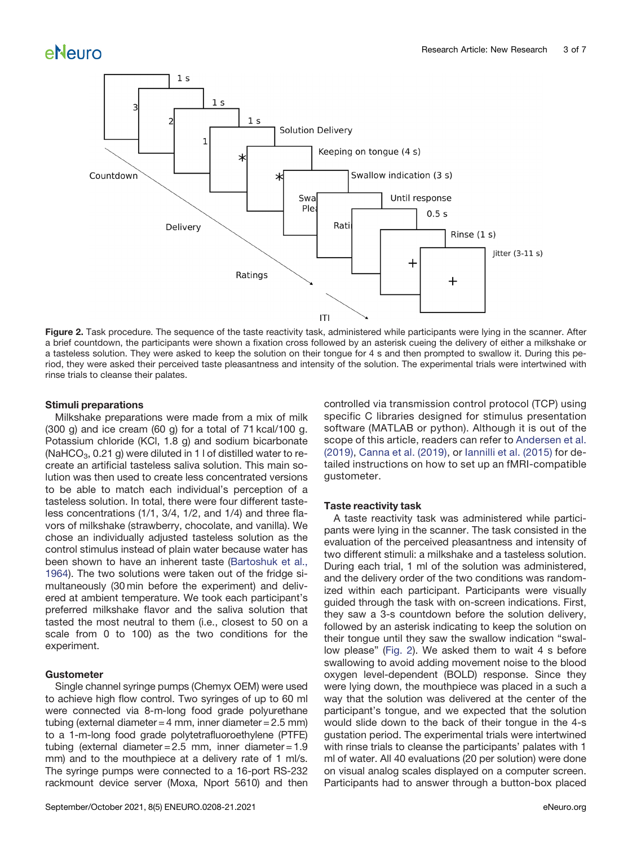

<span id="page-2-0"></span>Figure 2. Task procedure. The sequence of the taste reactivity task, administered while participants were lying in the scanner. After a brief countdown, the participants were shown a fixation cross followed by an asterisk cueing the delivery of either a milkshake or a tasteless solution. They were asked to keep the solution on their tongue for 4 s and then prompted to swallow it. During this period, they were asked their perceived taste pleasantness and intensity of the solution. The experimental trials were intertwined with rinse trials to cleanse their palates.

### Stimuli preparations

Milkshake preparations were made from a mix of milk (300 g) and ice cream (60 g) for a total of 71 kcal/100 g. Potassium chloride (KCl, 1.8 g) and sodium bicarbonate  $(NaHCO<sub>3</sub>, 0.21 g)$  were diluted in 1 l of distilled water to recreate an artificial tasteless saliva solution. This main solution was then used to create less concentrated versions to be able to match each individual's perception of a tasteless solution. In total, there were four different tasteless concentrations (1/1, 3/4, 1/2, and 1/4) and three flavors of milkshake (strawberry, chocolate, and vanilla). We chose an individually adjusted tasteless solution as the control stimulus instead of plain water because water has been shown to have an inherent taste ([Bartoshuk et al.,](#page-6-7) [1964](#page-6-7)). The two solutions were taken out of the fridge simultaneously (30 min before the experiment) and delivered at ambient temperature. We took each participant's preferred milkshake flavor and the saliva solution that tasted the most neutral to them (i.e., closest to 50 on a scale from 0 to 100) as the two conditions for the experiment.

### Gustometer

Single channel syringe pumps (Chemyx OEM) were used to achieve high flow control. Two syringes of up to 60 ml were connected via 8-m-long food grade polyurethane tubing (external diameter = 4 mm, inner diameter =  $2.5$  mm) to a 1-m-long food grade polytetrafluoroethylene (PTFE) tubing (external diameter =  $2.5$  mm, inner diameter =  $1.9$ mm) and to the mouthpiece at a delivery rate of 1 ml/s. The syringe pumps were connected to a 16-port RS-232 rackmount device server (Moxa, Nport 5610) and then controlled via transmission control protocol (TCP) using specific C libraries designed for stimulus presentation software (MATLAB or python). Although it is out of the scope of this article, readers can refer to [Andersen et al.](#page-6-4) [\(2019\)](#page-6-4), [Canna et al. \(2019\)](#page-6-1), or [Iannilli et al. \(2015\)](#page-6-8) for detailed instructions on how to set up an fMRI-compatible gustometer.

#### Taste reactivity task

A taste reactivity task was administered while participants were lying in the scanner. The task consisted in the evaluation of the perceived pleasantness and intensity of two different stimuli: a milkshake and a tasteless solution. During each trial, 1 ml of the solution was administered, and the delivery order of the two conditions was randomized within each participant. Participants were visually guided through the task with on-screen indications. First, they saw a 3-s countdown before the solution delivery, followed by an asterisk indicating to keep the solution on their tongue until they saw the swallow indication "swallow please" [\(Fig. 2](#page-2-0)). We asked them to wait 4 s before swallowing to avoid adding movement noise to the blood oxygen level-dependent (BOLD) response. Since they were lying down, the mouthpiece was placed in a such a way that the solution was delivered at the center of the participant's tongue, and we expected that the solution would slide down to the back of their tongue in the 4-s gustation period. The experimental trials were intertwined with rinse trials to cleanse the participants' palates with 1 ml of water. All 40 evaluations (20 per solution) were done on visual analog scales displayed on a computer screen. Participants had to answer through a button-box placed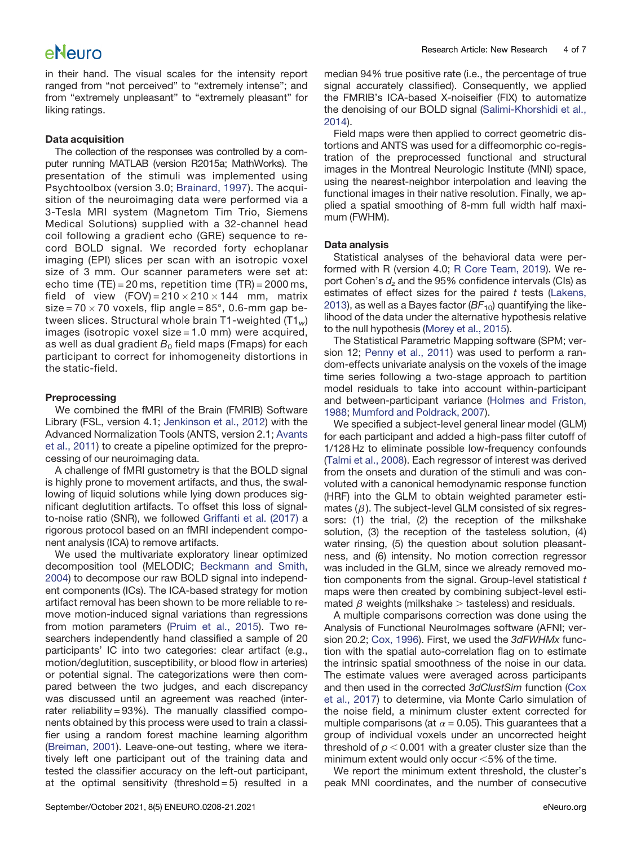in their hand. The visual scales for the intensity report ranged from "not perceived" to "extremely intense"; and from "extremely unpleasant" to "extremely pleasant" for liking ratings.

### Data acquisition

The collection of the responses was controlled by a computer running MATLAB (version R2015a; MathWorks). The presentation of the stimuli was implemented using Psychtoolbox (version 3.0; [Brainard, 1997](#page-6-9)). The acquisition of the neuroimaging data were performed via a 3-Tesla MRI system (Magnetom Tim Trio, Siemens Medical Solutions) supplied with a 32-channel head coil following a gradient echo (GRE) sequence to record BOLD signal. We recorded forty echoplanar imaging (EPI) slices per scan with an isotropic voxel size of 3 mm. Our scanner parameters were set at: echo time  $(TE) = 20$  ms, repetition time  $(TR) = 2000$  ms, field of view  $(FOV) = 210 \times 210 \times 144$  mm, matrix size =  $70 \times 70$  voxels, flip angle =  $85^\circ$ , 0.6-mm gap between slices. Structural whole brain T1-weighted  $(T1_w)$ images (isotropic voxel size = 1.0 mm) were acquired, as well as dual gradient  $B_0$  field maps (Fmaps) for each participant to correct for inhomogeneity distortions in the static-field.

### **Preprocessing**

We combined the fMRI of the Brain (FMRIB) Software Library (FSL, version 4.1; [Jenkinson et al., 2012\)](#page-6-10) with the Advanced Normalization Tools (ANTS, version 2.1; [Avants](#page-6-11) [et al., 2011](#page-6-11)) to create a pipeline optimized for the preprocessing of our neuroimaging data.

A challenge of fMRI gustometry is that the BOLD signal is highly prone to movement artifacts, and thus, the swallowing of liquid solutions while lying down produces significant deglutition artifacts. To offset this loss of signalto-noise ratio (SNR), we followed [Griffanti et al. \(2017\)](#page-6-12) a rigorous protocol based on an fMRI independent component analysis (ICA) to remove artifacts.

We used the multivariate exploratory linear optimized decomposition tool (MELODIC; [Beckmann and Smith,](#page-6-13) [2004](#page-6-13)) to decompose our raw BOLD signal into independent components (ICs). The ICA-based strategy for motion artifact removal has been shown to be more reliable to remove motion-induced signal variations than regressions from motion parameters [\(Pruim et al., 2015](#page-6-14)). Two researchers independently hand classified a sample of 20 participants' IC into two categories: clear artifact (e.g., motion/deglutition, susceptibility, or blood flow in arteries) or potential signal. The categorizations were then compared between the two judges, and each discrepancy was discussed until an agreement was reached (interrater reliability = 93%). The manually classified components obtained by this process were used to train a classifier using a random forest machine learning algorithm [\(Breiman, 2001](#page-6-15)). Leave-one-out testing, where we iteratively left one participant out of the training data and tested the classifier accuracy on the left-out participant, at the optimal sensitivity (threshold  $=5$ ) resulted in a median 94% true positive rate (i.e., the percentage of true signal accurately classified). Consequently, we applied the FMRIB's ICA-based X-noiseifier (FIX) to automatize the denoising of our BOLD signal [\(Salimi-Khorshidi et al.,](#page-6-16) [2014](#page-6-16)).

Field maps were then applied to correct geometric distortions and ANTS was used for a diffeomorphic co-registration of the preprocessed functional and structural images in the Montreal Neurologic Institute (MNI) space, using the nearest-neighbor interpolation and leaving the functional images in their native resolution. Finally, we applied a spatial smoothing of 8-mm full width half maximum (FWHM).

### Data analysis

Statistical analyses of the behavioral data were performed with R (version 4.0; [R Core Team, 2019](#page-6-17)). We report Cohen's  $d_z$  and the 95% confidence intervals (CIs) as estimates of effect sizes for the paired  $t$  tests ([Lakens,](#page-6-18) [2013](#page-6-18)), as well as a Bayes factor  $(BF_{10})$  quantifying the likelihood of the data under the alternative hypothesis relative to the null hypothesis ([Morey et al., 2015](#page-6-19)).

The Statistical Parametric Mapping software (SPM; version 12; [Penny et al., 2011](#page-6-20)) was used to perform a random-effects univariate analysis on the voxels of the image time series following a two-stage approach to partition model residuals to take into account within-participant and between-participant variance [\(Holmes and Friston,](#page-6-21) [1988](#page-6-21); [Mumford and Poldrack, 2007\)](#page-6-22).

We specified a subject-level general linear model (GLM) for each participant and added a high-pass filter cutoff of 1/128 Hz to eliminate possible low-frequency confounds [\(Talmi et al., 2008](#page-6-23)). Each regressor of interest was derived from the onsets and duration of the stimuli and was convoluted with a canonical hemodynamic response function (HRF) into the GLM to obtain weighted parameter estimates  $(\beta)$ . The subject-level GLM consisted of six regressors: (1) the trial, (2) the reception of the milkshake solution, (3) the reception of the tasteless solution, (4) water rinsing, (5) the question about solution pleasantness, and (6) intensity. No motion correction regressor was included in the GLM, since we already removed motion components from the signal. Group-level statistical t maps were then created by combining subject-level estimated  $\beta$  weights (milkshake  $>$  tasteless) and residuals.

A multiple comparisons correction was done using the Analysis of Functional NeuroImages software (AFNI; ver-sion 20.2; [Cox, 1996\)](#page-6-24). First, we used the 3dFWHMx function with the spatial auto-correlation flag on to estimate the intrinsic spatial smoothness of the noise in our data. The estimate values were averaged across participants and then used in the corrected 3dClustSim function ([Cox](#page-6-25) [et al., 2017\)](#page-6-25) to determine, via Monte Carlo simulation of the noise field, a minimum cluster extent corrected for multiple comparisons (at  $\alpha$  = 0.05). This guarantees that a group of individual voxels under an uncorrected height threshold of  $p < 0.001$  with a greater cluster size than the minimum extent would only occur  $<$  5% of the time.

We report the minimum extent threshold, the cluster's peak MNI coordinates, and the number of consecutive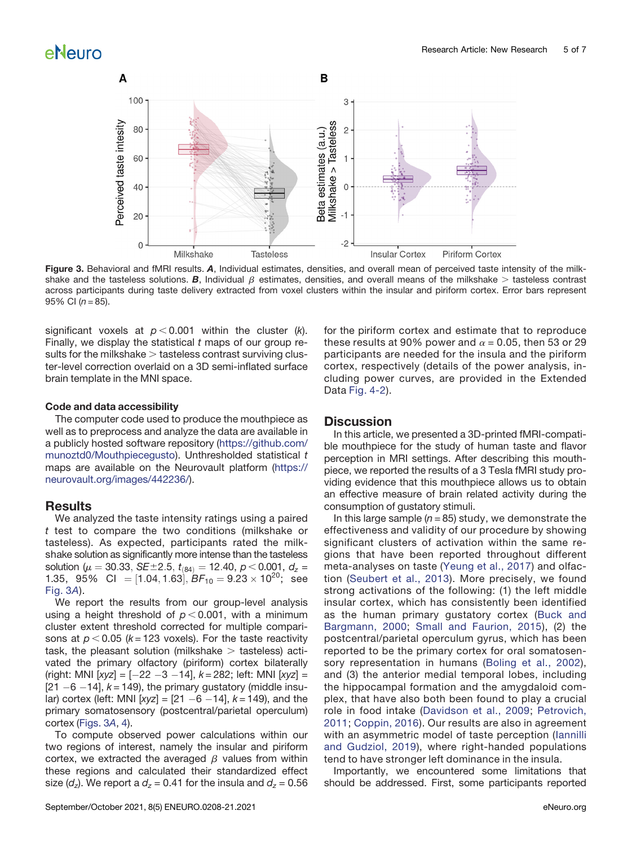

<span id="page-4-0"></span>Figure 3. Behavioral and fMRI results. A, Individual estimates, densities, and overall mean of perceived taste intensity of the milkshake and the tasteless solutions. B, Individual  $\beta$  estimates, densities, and overall means of the milkshake > tasteless contrast across participants during taste delivery extracted from voxel clusters within the insular and piriform cortex. Error bars represent 95% CI  $(n = 85)$ .

significant voxels at  $p < 0.001$  within the cluster (k). Finally, we display the statistical  $t$  maps of our group results for the milkshake  $>$  tasteless contrast surviving cluster-level correction overlaid on a 3D semi-inflated surface brain template in the MNI space.

#### Code and data accessibility

The computer code used to produce the mouthpiece as well as to preprocess and analyze the data are available in a publicly hosted software repository [\(https://github.com/](https://github.com/munoztd0/Mouthpiecegusto) [munoztd0/Mouthpiecegusto](https://github.com/munoztd0/Mouthpiecegusto)). Unthresholded statistical t maps are available on the Neurovault platform [\(https://](https://neurovault.org/images/442236/) [neurovault.org/images/442236/](https://neurovault.org/images/442236/)).

### **Results**

We analyzed the taste intensity ratings using a paired t test to compare the two conditions (milkshake or tasteless). As expected, participants rated the milkshake solution as significantly more intense than the tasteless solution ( $\mu = 30.33$ , SE $\pm 2.5$ ,  $t_{(84)} = 12.40$ ,  $p < 0.001$ ,  $d_z =$ 1.35, 95% CI = [1.04, 1.63],  $BF_{10} = 9.23 \times 10^{20}$ ; see [Fig. 3](#page-4-0)A).

We report the results from our group-level analysis using a height threshold of  $p < 0.001$ , with a minimum cluster extent threshold corrected for multiple comparisons at  $p < 0.05$  (k = 123 voxels). For the taste reactivity task, the pleasant solution (milkshake  $>$  tasteless) activated the primary olfactory (piriform) cortex bilaterally (right: MNI [xyz] =  $[-22 -3 -14]$ ,  $k = 282$ ; left: MNI [xyz] =  $[21 - 6 - 14]$ ,  $k = 149$ ), the primary gustatory (middle insular) cortex (left: MNI  $[xyz] = [21 - 6 - 14]$ ,  $k = 149$ ), and the primary somatosensory (postcentral/parietal operculum) cortex [\(Figs. 3](#page-4-0)A, [4\)](#page-5-0).

To compute observed power calculations within our two regions of interest, namely the insular and piriform cortex, we extracted the averaged  $\beta$  values from within these regions and calculated their standardized effect size ( $d_z$ ). We report a  $d_z$  = 0.41 for the insula and  $d_z$  = 0.56

for the piriform cortex and estimate that to reproduce these results at 90% power and  $\alpha$  = 0.05, then 53 or 29 participants are needed for the insula and the piriform cortex, respectively (details of the power analysis, including power curves, are provided in the Extended Data [Fig. 4-2](https://doi.org/10.1523/ENEURO.0208-21.2021.f4-2)).

### **Discussion**

In this article, we presented a 3D-printed fMRI-compatible mouthpiece for the study of human taste and flavor perception in MRI settings. After describing this mouthpiece, we reported the results of a 3 Tesla fMRI study providing evidence that this mouthpiece allows us to obtain an effective measure of brain related activity during the consumption of gustatory stimuli.

In this large sample ( $n = 85$ ) study, we demonstrate the effectiveness and validity of our procedure by showing significant clusters of activation within the same regions that have been reported throughout different meta-analyses on taste [\(Yeung et al., 2017](#page-6-26)) and olfaction ([Seubert et al., 2013](#page-6-27)). More precisely, we found strong activations of the following: (1) the left middle insular cortex, which has consistently been identified as the human primary gustatory cortex ([Buck and](#page-6-28) [Bargmann, 2000;](#page-6-28) [Small and Faurion, 2015\)](#page-6-29), (2) the postcentral/parietal operculum gyrus, which has been reported to be the primary cortex for oral somatosensory representation in humans ([Boling et al., 2002\)](#page-6-30), and (3) the anterior medial temporal lobes, including the hippocampal formation and the amygdaloid complex, that have also both been found to play a crucial role in food intake ([Davidson et al., 2009;](#page-6-31) [Petrovich,](#page-6-32) [2011](#page-6-32); [Coppin, 2016](#page-6-33)). Our results are also in agreement with an asymmetric model of taste perception [\(Iannilli](#page-6-34) [and Gudziol, 2019\)](#page-6-34), where right-handed populations tend to have stronger left dominance in the insula.

Importantly, we encountered some limitations that should be addressed. First, some participants reported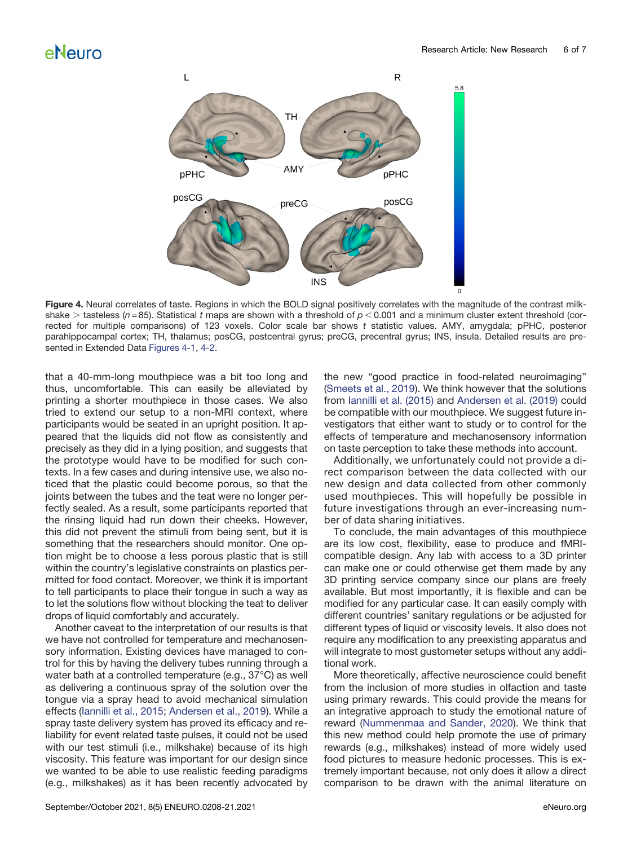

<span id="page-5-0"></span>Figure 4. Neural correlates of taste. Regions in which the BOLD signal positively correlates with the magnitude of the contrast milkshake > tasteless ( $n = 85$ ). Statistical t maps are shown with a threshold of  $p < 0.001$  and a minimum cluster extent threshold (corrected for multiple comparisons) of 123 voxels. Color scale bar shows  $t$  statistic values. AMY, amygdala; pPHC, posterior parahippocampal cortex; TH, thalamus; posCG, postcentral gyrus; preCG, precentral gyrus; INS, insula. Detailed results are presented in Extended Data [Figures 4-1](https://doi.org/10.1523/ENEURO.0208-21.2021.f4-1), [4-2.](https://doi.org/10.1523/ENEURO.0208-21.2021.f4-2)

that a 40-mm-long mouthpiece was a bit too long and thus, uncomfortable. This can easily be alleviated by printing a shorter mouthpiece in those cases. We also tried to extend our setup to a non-MRI context, where participants would be seated in an upright position. It appeared that the liquids did not flow as consistently and precisely as they did in a lying position, and suggests that the prototype would have to be modified for such contexts. In a few cases and during intensive use, we also noticed that the plastic could become porous, so that the joints between the tubes and the teat were no longer perfectly sealed. As a result, some participants reported that the rinsing liquid had run down their cheeks. However, this did not prevent the stimuli from being sent, but it is something that the researchers should monitor. One option might be to choose a less porous plastic that is still within the country's legislative constraints on plastics permitted for food contact. Moreover, we think it is important to tell participants to place their tongue in such a way as to let the solutions flow without blocking the teat to deliver drops of liquid comfortably and accurately.

Another caveat to the interpretation of our results is that we have not controlled for temperature and mechanosensory information. Existing devices have managed to control for this by having the delivery tubes running through a water bath at a controlled temperature (e.g., 37°C) as well as delivering a continuous spray of the solution over the tongue via a spray head to avoid mechanical simulation effects ([Iannilli et al., 2015](#page-6-8); [Andersen et al., 2019](#page-6-4)). While a spray taste delivery system has proved its efficacy and reliability for event related taste pulses, it could not be used with our test stimuli (i.e., milkshake) because of its high viscosity. This feature was important for our design since we wanted to be able to use realistic feeding paradigms (e.g., milkshakes) as it has been recently advocated by the new "good practice in food-related neuroimaging" [\(Smeets et al., 2019](#page-6-35)). We think however that the solutions from [Iannilli et al. \(2015\)](#page-6-8) and [Andersen et al. \(2019\)](#page-6-4) could be compatible with our mouthpiece. We suggest future investigators that either want to study or to control for the effects of temperature and mechanosensory information on taste perception to take these methods into account.

Additionally, we unfortunately could not provide a direct comparison between the data collected with our new design and data collected from other commonly used mouthpieces. This will hopefully be possible in future investigations through an ever-increasing number of data sharing initiatives.

To conclude, the main advantages of this mouthpiece are its low cost, flexibility, ease to produce and fMRIcompatible design. Any lab with access to a 3D printer can make one or could otherwise get them made by any 3D printing service company since our plans are freely available. But most importantly, it is flexible and can be modified for any particular case. It can easily comply with different countries' sanitary regulations or be adjusted for different types of liquid or viscosity levels. It also does not require any modification to any preexisting apparatus and will integrate to most gustometer setups without any additional work.

More theoretically, affective neuroscience could benefit from the inclusion of more studies in olfaction and taste using primary rewards. This could provide the means for an integrative approach to study the emotional nature of reward ([Nummenmaa and Sander, 2020](#page-6-36)). We think that this new method could help promote the use of primary rewards (e.g., milkshakes) instead of more widely used food pictures to measure hedonic processes. This is extremely important because, not only does it allow a direct comparison to be drawn with the animal literature on